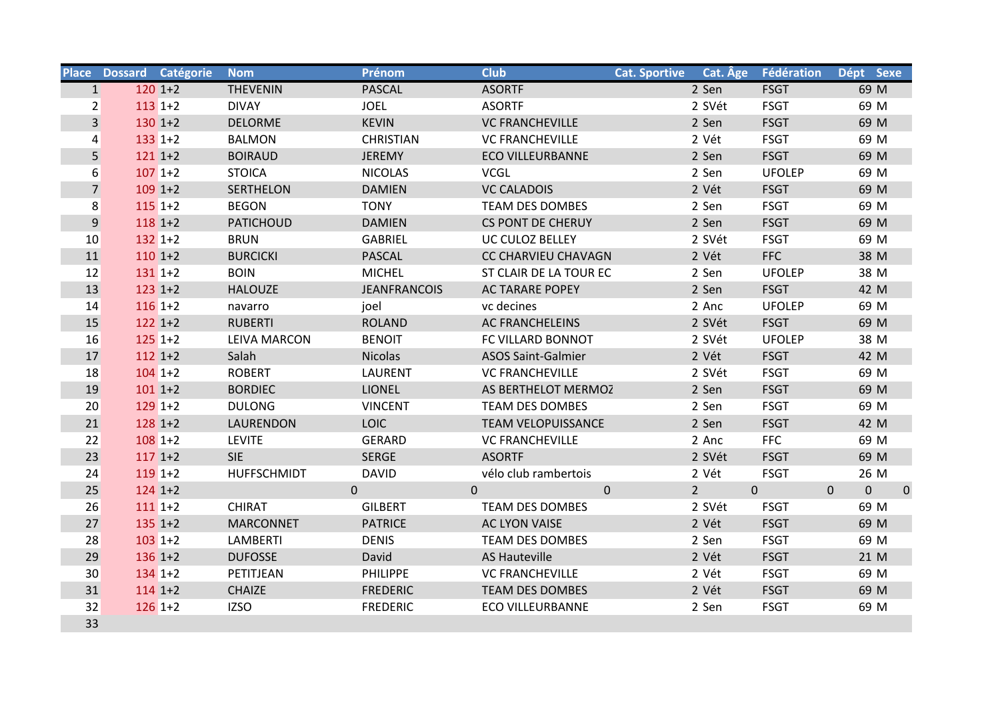|                | Place Dossard Catégorie | <b>Nom</b>          | Prénom              | <b>Club</b>                  | <b>Cat. Sportive</b> | Cat. Age                        | Fédération    | Dépt Sexe                                   |
|----------------|-------------------------|---------------------|---------------------|------------------------------|----------------------|---------------------------------|---------------|---------------------------------------------|
| $1\vert$       | $120$ 1+2               | <b>THEVENIN</b>     | <b>PASCAL</b>       | <b>ASORTF</b>                |                      | 2 Sen                           | <b>FSGT</b>   | 69 M                                        |
| $\overline{2}$ | $113$ 1+2               | <b>DIVAY</b>        | <b>JOEL</b>         | <b>ASORTF</b>                |                      | 2 SVét                          | <b>FSGT</b>   | 69 M                                        |
| $\overline{3}$ | $130$ 1+2               | <b>DELORME</b>      | <b>KEVIN</b>        | <b>VC FRANCHEVILLE</b>       |                      | 2 Sen                           | <b>FSGT</b>   | 69 M                                        |
| $\overline{4}$ | $133$ 1+2               | <b>BALMON</b>       | <b>CHRISTIAN</b>    | <b>VC FRANCHEVILLE</b>       |                      | 2 Vét                           | <b>FSGT</b>   | 69 M                                        |
| 5              | $121$ 1+2               | <b>BOIRAUD</b>      | JEREMY              | <b>ECO VILLEURBANNE</b>      |                      | 2 Sen                           | <b>FSGT</b>   | 69 M                                        |
| 6              | $107$ 1+2               | <b>STOICA</b>       | <b>NICOLAS</b>      | <b>VCGL</b>                  |                      | 2 Sen                           | <b>UFOLEP</b> | 69 M                                        |
| $\overline{7}$ | $109$ 1+2               | SERTHELON           | <b>DAMIEN</b>       | <b>VC CALADOIS</b>           |                      | 2 Vét                           | <b>FSGT</b>   | 69 M                                        |
| 8              | $115$ 1+2               | <b>BEGON</b>        | <b>TONY</b>         | <b>TEAM DES DOMBES</b>       |                      | 2 Sen                           | <b>FSGT</b>   | 69 M                                        |
| 9              | $118$ 1+2               | <b>PATICHOUD</b>    | <b>DAMIEN</b>       | <b>CS PONT DE CHERUY</b>     |                      | 2 Sen                           | <b>FSGT</b>   | 69 M                                        |
| 10             | $132$ 1+2               | <b>BRUN</b>         | GABRIEL             | UC CULOZ BELLEY              |                      | 2 SVét                          | <b>FSGT</b>   | 69 M                                        |
| 11             | $110$ 1+2               | <b>BURCICKI</b>     | PASCAL              | <b>CC CHARVIEU CHAVAGN</b>   |                      | 2 Vét                           | <b>FFC</b>    | 38 M                                        |
| 12             | $131$ 1+2               | <b>BOIN</b>         | <b>MICHEL</b>       | ST CLAIR DE LA TOUR EC       |                      | 2 Sen                           | <b>UFOLEP</b> | 38 M                                        |
| 13             | $123$ 1+2               | <b>HALOUZE</b>      | <b>JEANFRANCOIS</b> | <b>AC TARARE POPEY</b>       |                      | 2 Sen                           | <b>FSGT</b>   | 42 M                                        |
| 14             | $116$ 1+2               | navarro             | joel                | vc decines                   |                      | 2 Anc                           | <b>UFOLEP</b> | 69 M                                        |
| 15             | $122$ 1+2               | <b>RUBERTI</b>      | <b>ROLAND</b>       | <b>AC FRANCHELEINS</b>       |                      | 2 SVét                          | <b>FSGT</b>   | 69 M                                        |
| 16             | $125$ 1+2               | <b>LEIVA MARCON</b> | <b>BENOIT</b>       | FC VILLARD BONNOT            |                      | 2 SVét                          | <b>UFOLEP</b> | 38 M                                        |
| 17             | $112$ 1+2               | Salah               | <b>Nicolas</b>      | <b>ASOS Saint-Galmier</b>    |                      | 2 Vét                           | <b>FSGT</b>   | 42 M                                        |
| 18             | $104$ 1+2               | <b>ROBERT</b>       | <b>LAURENT</b>      | <b>VC FRANCHEVILLE</b>       |                      | 2 SVét                          | <b>FSGT</b>   | 69 M                                        |
| 19             | $101$ 1+2               | <b>BORDIEC</b>      | <b>LIONEL</b>       | AS BERTHELOT MERMOZ          |                      | 2 Sen                           | <b>FSGT</b>   | 69 M                                        |
| 20             | $129$ 1+2               | <b>DULONG</b>       | <b>VINCENT</b>      | <b>TEAM DES DOMBES</b>       |                      | 2 Sen                           | <b>FSGT</b>   | 69 M                                        |
| 21             | $128$ 1+2               | LAURENDON           | <b>LOIC</b>         | <b>TEAM VELOPUISSANCE</b>    |                      | 2 Sen                           | <b>FSGT</b>   | 42 M                                        |
| 22             | $108$ 1+2               | <b>LEVITE</b>       | <b>GERARD</b>       | <b>VC FRANCHEVILLE</b>       |                      | 2 Anc                           | <b>FFC</b>    | 69 M                                        |
| 23             | $117$ 1+2               | <b>SIE</b>          | <b>SERGE</b>        | <b>ASORTF</b>                |                      | 2 SVét                          | <b>FSGT</b>   | 69 M                                        |
| 24             | $119$ 1+2               | <b>HUFFSCHMIDT</b>  | <b>DAVID</b>        | vélo club rambertois         |                      | 2 Vét                           | <b>FSGT</b>   | 26 M                                        |
| 25             | $124$ 1+2               | $\Omega$            |                     | $\mathbf{0}$<br>$\mathbf{0}$ |                      | $2 \overline{ }$<br>$\mathbf 0$ |               | $\boldsymbol{0}$<br>$\mathbf 0$<br>$\Omega$ |
| 26             | $1111 + 2$              | <b>CHIRAT</b>       | <b>GILBERT</b>      | <b>TEAM DES DOMBES</b>       |                      | 2 SVét                          | <b>FSGT</b>   | 69 M                                        |
| 27             | $135$ 1+2               | <b>MARCONNET</b>    | <b>PATRICE</b>      | <b>AC LYON VAISE</b>         |                      | 2 Vét                           | <b>FSGT</b>   | 69 M                                        |
| 28             | $103$ 1+2               | <b>LAMBERTI</b>     | <b>DENIS</b>        | <b>TEAM DES DOMBES</b>       |                      | 2 Sen                           | <b>FSGT</b>   | 69 M                                        |
| 29             | $136$ 1+2               | <b>DUFOSSE</b>      | David               | <b>AS Hauteville</b>         |                      | 2 Vét                           | <b>FSGT</b>   | 21 M                                        |
| 30             | $134$ 1+2               | PETITJEAN           | <b>PHILIPPE</b>     | <b>VC FRANCHEVILLE</b>       |                      | 2 Vét                           | <b>FSGT</b>   | 69 M                                        |
| 31             | $114$ 1+2               | <b>CHAIZE</b>       | <b>FREDERIC</b>     | TEAM DES DOMBES              |                      | 2 Vét                           | <b>FSGT</b>   | 69 M                                        |
| 32             | $126$ 1+2               | <b>IZSO</b>         | <b>FREDERIC</b>     | <b>ECO VILLEURBANNE</b>      |                      | 2 Sen                           | <b>FSGT</b>   | 69 M                                        |
| 33             |                         |                     |                     |                              |                      |                                 |               |                                             |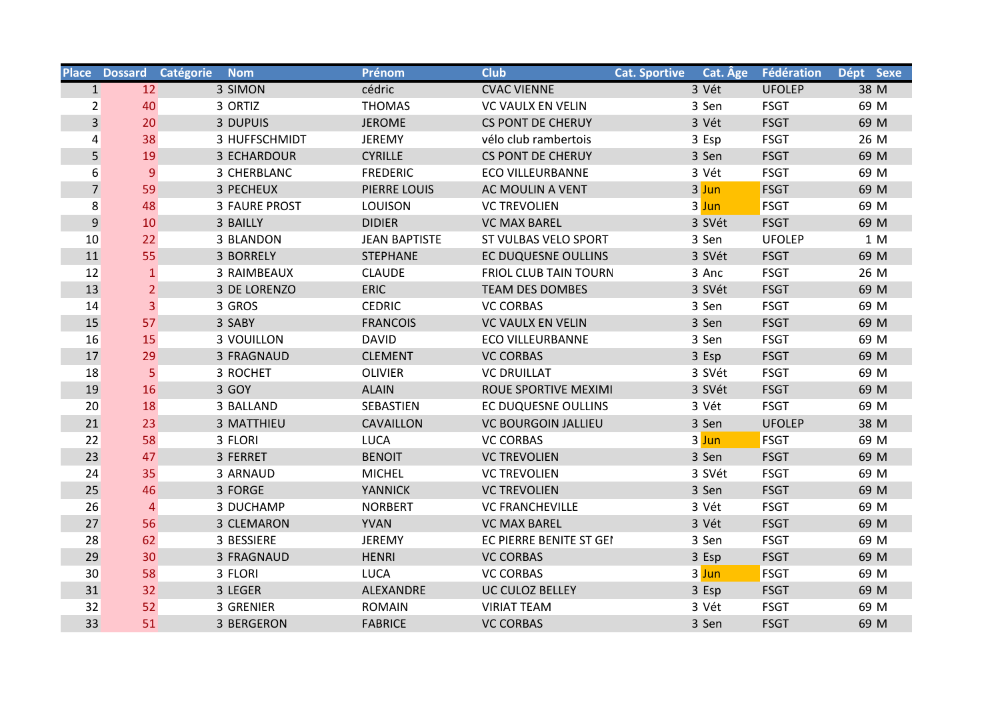|                |                 | Place Dossard Catégorie Nom | Prénom               | <b>Club</b>                  | Cat. Age<br><b>Cat. Sportive</b> | Fédération    | Dépt Sexe |
|----------------|-----------------|-----------------------------|----------------------|------------------------------|----------------------------------|---------------|-----------|
| 1              | 12              | 3 SIMON                     | cédric               | <b>CVAC VIENNE</b>           | 3 Vét                            | <b>UFOLEP</b> | 38 M      |
| $\overline{2}$ | 40              | 3 ORTIZ                     | <b>THOMAS</b>        | <b>VC VAULX EN VELIN</b>     | 3 Sen                            | <b>FSGT</b>   | 69 M      |
| $\overline{3}$ | 20              | 3 DUPUIS                    | <b>JEROME</b>        | <b>CS PONT DE CHERUY</b>     | 3 Vét                            | <b>FSGT</b>   | 69 M      |
| 4              | 38              | 3 HUFFSCHMIDT               | <b>JEREMY</b>        | vélo club rambertois         | 3 Esp                            | <b>FSGT</b>   | 26 M      |
| 5              | 19              | 3 ECHARDOUR                 | <b>CYRILLE</b>       | <b>CS PONT DE CHERUY</b>     | 3 Sen                            | <b>FSGT</b>   | 69 M      |
| 6              | 9               | 3 CHERBLANC                 | <b>FREDERIC</b>      | <b>ECO VILLEURBANNE</b>      | 3 Vét                            | <b>FSGT</b>   | 69 M      |
| $\overline{7}$ | 59              | 3 PECHEUX                   | PIERRE LOUIS         | AC MOULIN A VENT             | 3 Jun                            | <b>FSGT</b>   | 69 M      |
| 8              | 48              | <b>3 FAURE PROST</b>        | <b>LOUISON</b>       | <b>VC TREVOLIEN</b>          | $3$ Jun                          | <b>FSGT</b>   | 69 M      |
| $9\,$          | 10              | 3 BAILLY                    | <b>DIDIER</b>        | <b>VC MAX BAREL</b>          | 3 SVét                           | <b>FSGT</b>   | 69 M      |
| 10             | 22              | 3 BLANDON                   | <b>JEAN BAPTISTE</b> | <b>ST VULBAS VELO SPORT</b>  | 3 Sen                            | <b>UFOLEP</b> | 1 M       |
| 11             | 55              | 3 BORRELY                   | <b>STEPHANE</b>      | <b>EC DUQUESNE OULLINS</b>   | 3 SVét                           | <b>FSGT</b>   | 69 M      |
| 12             | $\mathbf{1}$    | 3 RAIMBEAUX                 | <b>CLAUDE</b>        | <b>FRIOL CLUB TAIN TOURN</b> | 3 Anc                            | <b>FSGT</b>   | 26 M      |
| 13             | 2 <sup>1</sup>  | 3 DE LORENZO                | <b>ERIC</b>          | <b>TEAM DES DOMBES</b>       | 3 SVét                           | <b>FSGT</b>   | 69 M      |
| 14             | $\overline{3}$  | 3 GROS                      | <b>CEDRIC</b>        | <b>VC CORBAS</b>             | 3 Sen                            | <b>FSGT</b>   | 69 M      |
| 15             | 57              | 3 SABY                      | <b>FRANCOIS</b>      | <b>VC VAULX EN VELIN</b>     | 3 Sen                            | <b>FSGT</b>   | 69 M      |
| 16             | 15              | <b>3 VOUILLON</b>           | <b>DAVID</b>         | <b>ECO VILLEURBANNE</b>      | 3 Sen                            | <b>FSGT</b>   | 69 M      |
| 17             | 29              | 3 FRAGNAUD                  | <b>CLEMENT</b>       | <b>VC CORBAS</b>             | 3 Esp                            | <b>FSGT</b>   | 69 M      |
| 18             | 5               | 3 ROCHET                    | <b>OLIVIER</b>       | <b>VC DRUILLAT</b>           | 3 SVét                           | <b>FSGT</b>   | 69 M      |
| 19             | 16              | 3 GOY                       | <b>ALAIN</b>         | ROUE SPORTIVE MEXIMI         | 3 SVét                           | <b>FSGT</b>   | 69 M      |
| 20             | 18              | 3 BALLAND                   | SEBASTIEN            | EC DUQUESNE OULLINS          | 3 Vét                            | <b>FSGT</b>   | 69 M      |
| 21             | 23              | 3 MATTHIEU                  | <b>CAVAILLON</b>     | <b>VC BOURGOIN JALLIEU</b>   | 3 Sen                            | <b>UFOLEP</b> | 38 M      |
| 22             | 58              | 3 FLORI                     | <b>LUCA</b>          | <b>VC CORBAS</b>             | 3 Jun                            | <b>FSGT</b>   | 69 M      |
| 23             | 47              | 3 FERRET                    | <b>BENOIT</b>        | <b>VC TREVOLIEN</b>          | 3 Sen                            | <b>FSGT</b>   | 69 M      |
| 24             | 35              | 3 ARNAUD                    | <b>MICHEL</b>        | <b>VC TREVOLIEN</b>          | 3 SVét                           | <b>FSGT</b>   | 69 M      |
| 25             | 46              | 3 FORGE                     | <b>YANNICK</b>       | <b>VC TREVOLIEN</b>          | 3 Sen                            | <b>FSGT</b>   | 69 M      |
| 26             | $\overline{4}$  | 3 DUCHAMP                   | <b>NORBERT</b>       | <b>VC FRANCHEVILLE</b>       | 3 Vét                            | <b>FSGT</b>   | 69 M      |
| 27             | 56              | 3 CLEMARON                  | <b>YVAN</b>          | <b>VC MAX BAREL</b>          | 3 Vét                            | <b>FSGT</b>   | 69 M      |
| 28             | 62              | 3 BESSIERE                  | <b>JEREMY</b>        | EC PIERRE BENITE ST GEI      | 3 Sen                            | <b>FSGT</b>   | 69 M      |
| 29             | 30 <sup>°</sup> | 3 FRAGNAUD                  | <b>HENRI</b>         | <b>VC CORBAS</b>             | 3 Esp                            | <b>FSGT</b>   | 69 M      |
| 30             | 58              | 3 FLORI                     | <b>LUCA</b>          | <b>VC CORBAS</b>             | $3$ Jun                          | <b>FSGT</b>   | 69 M      |
| 31             | 32              | 3 LEGER                     | ALEXANDRE            | UC CULOZ BELLEY              | 3 Esp                            | <b>FSGT</b>   | 69 M      |
| 32             | 52              | 3 GRENIER                   | <b>ROMAIN</b>        | <b>VIRIAT TEAM</b>           | 3 Vét                            | <b>FSGT</b>   | 69 M      |
| 33             | 51              | 3 BERGERON                  | <b>FABRICE</b>       | <b>VC CORBAS</b>             | 3 Sen                            | <b>FSGT</b>   | 69 M      |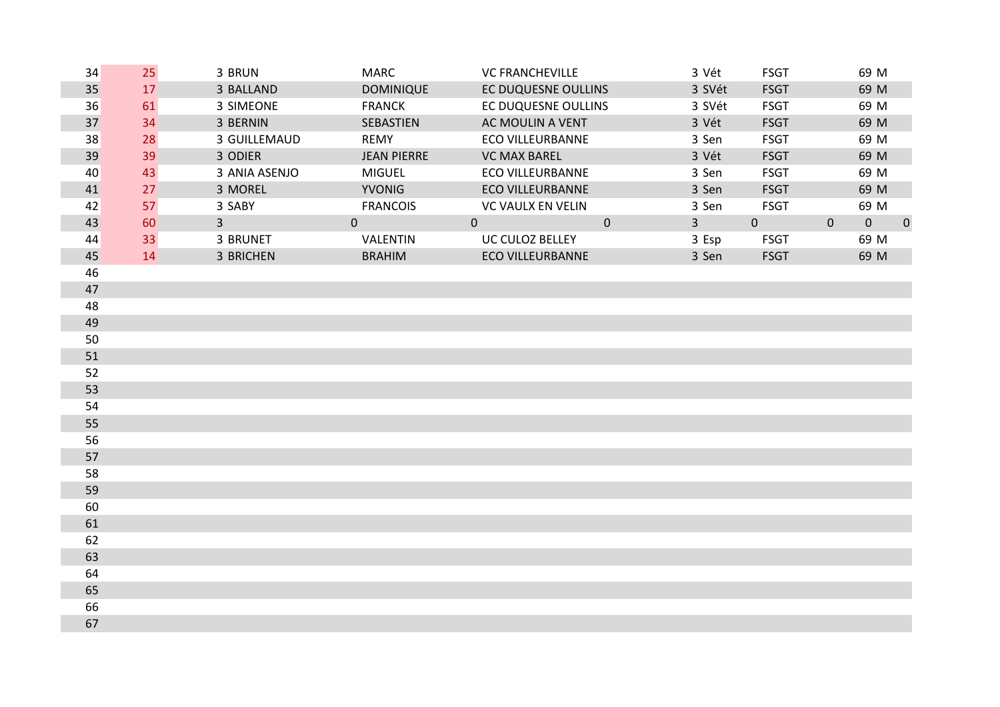| 34 | 25 | 3 BRUN         | <b>MARC</b>        | <b>VC FRANCHEVILLE</b>             | 3 Vét          | <b>FSGT</b>  |              | 69 M           |             |
|----|----|----------------|--------------------|------------------------------------|----------------|--------------|--------------|----------------|-------------|
| 35 | 17 | 3 BALLAND      | <b>DOMINIQUE</b>   | EC DUQUESNE OULLINS                | 3 SVét         | <b>FSGT</b>  |              | 69 M           |             |
| 36 | 61 | 3 SIMEONE      | <b>FRANCK</b>      | EC DUQUESNE OULLINS                | 3 SVét         | <b>FSGT</b>  |              | 69 M           |             |
| 37 | 34 | 3 BERNIN       | SEBASTIEN          | AC MOULIN A VENT                   | 3 Vét          | <b>FSGT</b>  |              | 69 M           |             |
| 38 | 28 | 3 GUILLEMAUD   | <b>REMY</b>        | <b>ECO VILLEURBANNE</b>            | 3 Sen          | <b>FSGT</b>  |              | 69 M           |             |
| 39 | 39 | 3 ODIER        | <b>JEAN PIERRE</b> | <b>VC MAX BAREL</b>                | 3 Vét          | <b>FSGT</b>  |              | 69 M           |             |
| 40 | 43 | 3 ANIA ASENJO  | <b>MIGUEL</b>      | <b>ECO VILLEURBANNE</b>            | 3 Sen          | <b>FSGT</b>  |              | 69 M           |             |
| 41 | 27 | 3 MOREL        | <b>YVONIG</b>      | <b>ECO VILLEURBANNE</b>            | 3 Sen          | <b>FSGT</b>  |              | 69 M           |             |
| 42 | 57 | 3 SABY         | <b>FRANCOIS</b>    | <b>VC VAULX EN VELIN</b>           | 3 Sen          | <b>FSGT</b>  |              | 69 M           |             |
| 43 | 60 | $\overline{3}$ | $\overline{0}$     | $\overline{0}$<br>$\boldsymbol{0}$ | $\overline{3}$ | $\mathbf{0}$ | $\mathbf{0}$ | $\overline{0}$ | $\mathbf 0$ |
| 44 | 33 | 3 BRUNET       | VALENTIN           | UC CULOZ BELLEY                    | 3 Esp          | <b>FSGT</b>  |              | 69 M           |             |
| 45 | 14 | 3 BRICHEN      | <b>BRAHIM</b>      | <b>ECO VILLEURBANNE</b>            | 3 Sen          | <b>FSGT</b>  |              | 69 M           |             |
| 46 |    |                |                    |                                    |                |              |              |                |             |
| 47 |    |                |                    |                                    |                |              |              |                |             |
| 48 |    |                |                    |                                    |                |              |              |                |             |
| 49 |    |                |                    |                                    |                |              |              |                |             |
| 50 |    |                |                    |                                    |                |              |              |                |             |
| 51 |    |                |                    |                                    |                |              |              |                |             |
| 52 |    |                |                    |                                    |                |              |              |                |             |
| 53 |    |                |                    |                                    |                |              |              |                |             |
| 54 |    |                |                    |                                    |                |              |              |                |             |
| 55 |    |                |                    |                                    |                |              |              |                |             |
| 56 |    |                |                    |                                    |                |              |              |                |             |
| 57 |    |                |                    |                                    |                |              |              |                |             |
| 58 |    |                |                    |                                    |                |              |              |                |             |
| 59 |    |                |                    |                                    |                |              |              |                |             |
| 60 |    |                |                    |                                    |                |              |              |                |             |
| 61 |    |                |                    |                                    |                |              |              |                |             |
| 62 |    |                |                    |                                    |                |              |              |                |             |
| 63 |    |                |                    |                                    |                |              |              |                |             |
| 64 |    |                |                    |                                    |                |              |              |                |             |
| 65 |    |                |                    |                                    |                |              |              |                |             |
| 66 |    |                |                    |                                    |                |              |              |                |             |
| 67 |    |                |                    |                                    |                |              |              |                |             |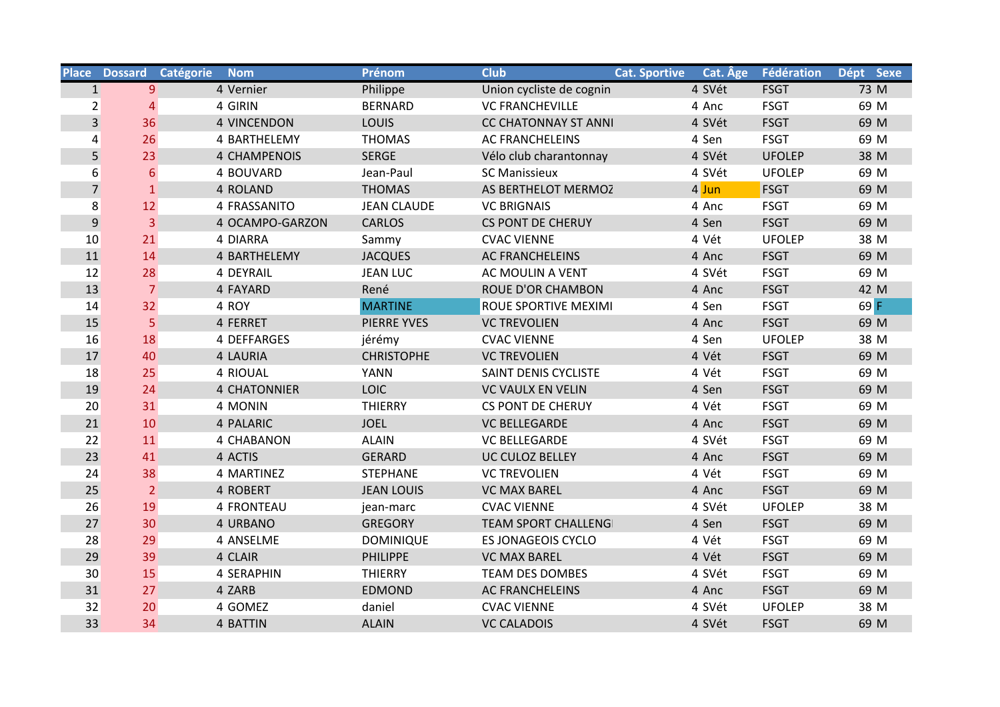|                | Place Dossard Catégorie | <b>Nom</b>          | Prénom             | <b>Club</b>                 | <b>Cat. Sportive</b> | Cat. Age | Fédération    | Dépt Sexe |
|----------------|-------------------------|---------------------|--------------------|-----------------------------|----------------------|----------|---------------|-----------|
| 1              | 9                       | 4 Vernier           | Philippe           | Union cycliste de cognin    |                      | 4 SVét   | <b>FSGT</b>   | 73 M      |
| $\overline{2}$ | 4                       | 4 GIRIN             | <b>BERNARD</b>     | <b>VC FRANCHEVILLE</b>      |                      | 4 Anc    | <b>FSGT</b>   | 69 M      |
| $\overline{3}$ | 36                      | <b>4 VINCENDON</b>  | LOUIS              | <b>CC CHATONNAY ST ANNI</b> |                      | 4 SVét   | <b>FSGT</b>   | 69 M      |
| 4              | 26                      | 4 BARTHELEMY        | <b>THOMAS</b>      | <b>AC FRANCHELEINS</b>      |                      | 4 Sen    | <b>FSGT</b>   | 69 M      |
| 5              | 23                      | <b>4 CHAMPENOIS</b> | <b>SERGE</b>       | Vélo club charantonnay      |                      | 4 SVét   | <b>UFOLEP</b> | 38 M      |
| 6              | $6 \overline{6}$        | 4 BOUVARD           | Jean-Paul          | <b>SC Manissieux</b>        |                      | 4 SVét   | <b>UFOLEP</b> | 69 M      |
| $\overline{7}$ | $\mathbf{1}$            | 4 ROLAND            | <b>THOMAS</b>      | AS BERTHELOT MERMOZ         |                      | $4$ Jun  | <b>FSGT</b>   | 69 M      |
| 8              | 12                      | 4 FRASSANITO        | <b>JEAN CLAUDE</b> | <b>VC BRIGNAIS</b>          |                      | 4 Anc    | <b>FSGT</b>   | 69 M      |
| $\overline{9}$ | 3                       | 4 OCAMPO-GARZON     | <b>CARLOS</b>      | <b>CS PONT DE CHERUY</b>    |                      | 4 Sen    | <b>FSGT</b>   | 69 M      |
| 10             | 21                      | 4 DIARRA            | Sammy              | <b>CVAC VIENNE</b>          |                      | 4 Vét    | <b>UFOLEP</b> | 38 M      |
| 11             | 14                      | 4 BARTHELEMY        | <b>JACQUES</b>     | <b>AC FRANCHELEINS</b>      |                      | 4 Anc    | <b>FSGT</b>   | 69 M      |
| 12             | 28                      | 4 DEYRAIL           | <b>JEAN LUC</b>    | AC MOULIN A VENT            |                      | 4 SVét   | <b>FSGT</b>   | 69 M      |
| 13             | $\overline{7}$          | 4 FAYARD            | René               | <b>ROUE D'OR CHAMBON</b>    |                      | 4 Anc    | <b>FSGT</b>   | 42 M      |
| 14             | 32                      | 4 ROY               | <b>MARTINE</b>     | ROUE SPORTIVE MEXIMI        |                      | 4 Sen    | <b>FSGT</b>   | 69 F      |
| 15             | 5                       | 4 FERRET            | <b>PIERRE YVES</b> | <b>VC TREVOLIEN</b>         |                      | 4 Anc    | <b>FSGT</b>   | 69 M      |
| 16             | 18                      | 4 DEFFARGES         | jérémy             | <b>CVAC VIENNE</b>          |                      | 4 Sen    | <b>UFOLEP</b> | 38 M      |
| 17             | 40                      | 4 LAURIA            | <b>CHRISTOPHE</b>  | <b>VC TREVOLIEN</b>         |                      | 4 Vét    | <b>FSGT</b>   | 69 M      |
| 18             | 25                      | 4 RIOUAL            | <b>YANN</b>        | SAINT DENIS CYCLISTE        |                      | 4 Vét    | <b>FSGT</b>   | 69 M      |
| 19             | 24                      | <b>4 CHATONNIER</b> | <b>LOIC</b>        | <b>VC VAULX EN VELIN</b>    |                      | 4 Sen    | <b>FSGT</b>   | 69 M      |
| 20             | 31                      | 4 MONIN             | <b>THIERRY</b>     | <b>CS PONT DE CHERUY</b>    |                      | 4 Vét    | <b>FSGT</b>   | 69 M      |
| 21             | 10                      | 4 PALARIC           | <b>JOEL</b>        | <b>VC BELLEGARDE</b>        |                      | 4 Anc    | <b>FSGT</b>   | 69 M      |
| 22             | 11                      | 4 CHABANON          | <b>ALAIN</b>       | <b>VC BELLEGARDE</b>        |                      | 4 SVét   | <b>FSGT</b>   | 69 M      |
| 23             | 41                      | 4 ACTIS             | <b>GERARD</b>      | UC CULOZ BELLEY             |                      | 4 Anc    | <b>FSGT</b>   | 69 M      |
| 24             | 38                      | 4 MARTINEZ          | <b>STEPHANE</b>    | <b>VC TREVOLIEN</b>         |                      | 4 Vét    | <b>FSGT</b>   | 69 M      |
| 25             | $\overline{2}$          | 4 ROBERT            | <b>JEAN LOUIS</b>  | <b>VC MAX BAREL</b>         |                      | 4 Anc    | <b>FSGT</b>   | 69 M      |
| 26             | 19                      | 4 FRONTEAU          | jean-marc          | <b>CVAC VIENNE</b>          |                      | 4 SVét   | <b>UFOLEP</b> | 38 M      |
| 27             | 30                      | 4 URBANO            | <b>GREGORY</b>     | <b>TEAM SPORT CHALLENG</b>  |                      | 4 Sen    | <b>FSGT</b>   | 69 M      |
| 28             | 29                      | 4 ANSELME           | <b>DOMINIQUE</b>   | ES JONAGEOIS CYCLO          |                      | 4 Vét    | <b>FSGT</b>   | 69 M      |
| 29             | 39                      | 4 CLAIR             | <b>PHILIPPE</b>    | <b>VC MAX BAREL</b>         |                      | 4 Vét    | <b>FSGT</b>   | 69 M      |
| 30             | 15                      | 4 SERAPHIN          | <b>THIERRY</b>     | <b>TEAM DES DOMBES</b>      |                      | 4 SVét   | <b>FSGT</b>   | 69 M      |
| 31             | 27                      | 4 ZARB              | <b>EDMOND</b>      | <b>AC FRANCHELEINS</b>      |                      | 4 Anc    | <b>FSGT</b>   | 69 M      |
| 32             | 20                      | 4 GOMEZ             | daniel             | <b>CVAC VIENNE</b>          |                      | 4 SVét   | <b>UFOLEP</b> | 38 M      |
| 33             | 34                      | 4 BATTIN            | <b>ALAIN</b>       | <b>VC CALADOIS</b>          |                      | 4 SVét   | <b>FSGT</b>   | 69 M      |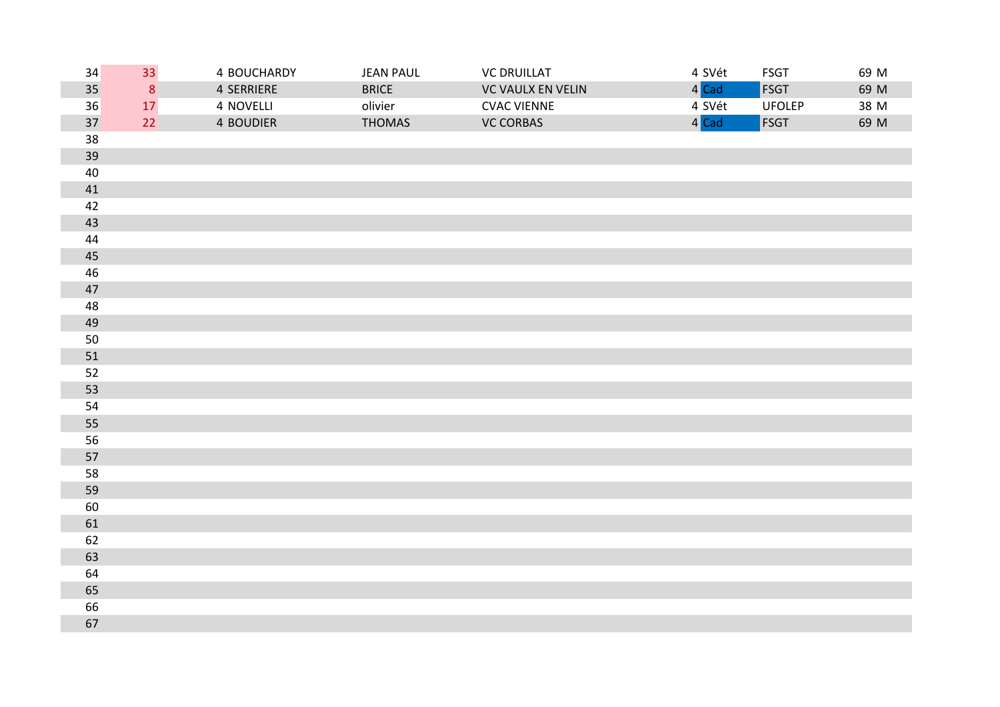| 34     | 33             | 4 BOUCHARDY      | <b>JEAN PAUL</b> | <b>VC DRUILLAT</b> | 4 SVét | <b>FSGT</b>   | 69 M |
|--------|----------------|------------------|------------------|--------------------|--------|---------------|------|
| 35     | 8 <sup>1</sup> | 4 SERRIERE       | <b>BRICE</b>     | VC VAULX EN VELIN  | 4 Cad  | <b>FSGT</b>   | 69 M |
| 36     | 17             | 4 NOVELLI        | olivier          | <b>CVAC VIENNE</b> | 4 SVét | <b>UFOLEP</b> | 38 M |
| 37     | 22             | <b>4 BOUDIER</b> | <b>THOMAS</b>    | <b>VC CORBAS</b>   | 4 Cad  | <b>FSGT</b>   | 69 M |
| 38     |                |                  |                  |                    |        |               |      |
| 39     |                |                  |                  |                    |        |               |      |
| $40\,$ |                |                  |                  |                    |        |               |      |
| 41     |                |                  |                  |                    |        |               |      |
| 42     |                |                  |                  |                    |        |               |      |
| 43     |                |                  |                  |                    |        |               |      |
| 44     |                |                  |                  |                    |        |               |      |
| 45     |                |                  |                  |                    |        |               |      |
| 46     |                |                  |                  |                    |        |               |      |
| 47     |                |                  |                  |                    |        |               |      |
| 48     |                |                  |                  |                    |        |               |      |
| 49     |                |                  |                  |                    |        |               |      |
| 50     |                |                  |                  |                    |        |               |      |
| 51     |                |                  |                  |                    |        |               |      |
| 52     |                |                  |                  |                    |        |               |      |
| 53     |                |                  |                  |                    |        |               |      |
| 54     |                |                  |                  |                    |        |               |      |
| 55     |                |                  |                  |                    |        |               |      |
| 56     |                |                  |                  |                    |        |               |      |
| 57     |                |                  |                  |                    |        |               |      |
| 58     |                |                  |                  |                    |        |               |      |
| 59     |                |                  |                  |                    |        |               |      |
| 60     |                |                  |                  |                    |        |               |      |
| 61     |                |                  |                  |                    |        |               |      |
| 62     |                |                  |                  |                    |        |               |      |
| 63     |                |                  |                  |                    |        |               |      |
| 64     |                |                  |                  |                    |        |               |      |
| 65     |                |                  |                  |                    |        |               |      |
| 66     |                |                  |                  |                    |        |               |      |
| 67     |                |                  |                  |                    |        |               |      |